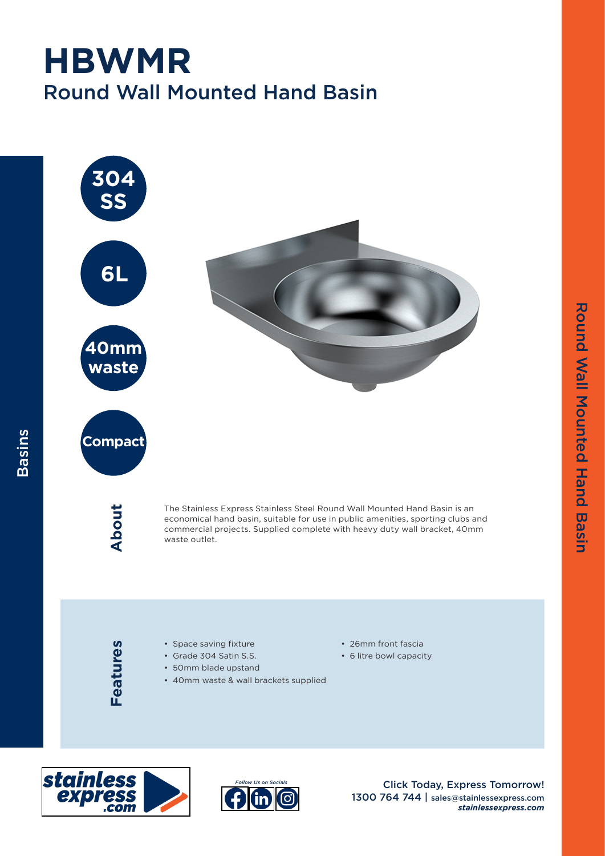## Round Wall Mounted Hand Basin **HBWMR**







Click Today, Express Tomorrow! 1300 764 744 | sales@stainlessexpress.com *stainlessexpress.com* Round Wall Mounted Hand Basin

**Round Wall Mounted Hand Basin** 

stainless<br>express